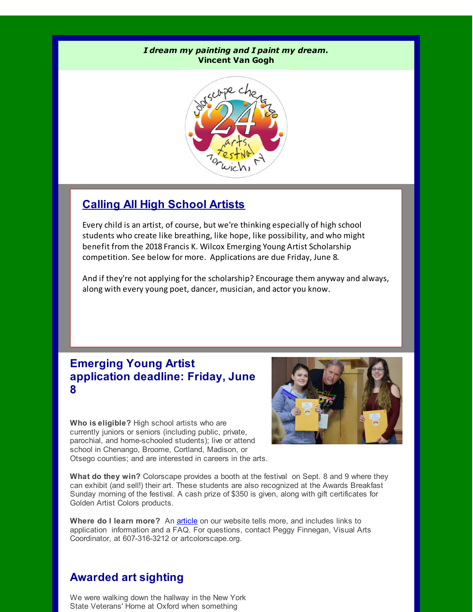#### *I dream my painting and I paint my dream.* **Vincent Van Gogh**



#### **Calling All High School Artists**

Every child is an artist, of course, but we're thinking especially of high school students who create like breathing, like hope, like possibility, and who might benefit from the 2018 Francis K. Wilcox Emerging Young Artist Scholarship competition. See below for more. Applications are due Friday, June 8.

And if they're not applying for the scholarship? Encourage them anyway and always, along with every young poet, dancer, musician, and actor you know.

#### **Emerging Young Artist application deadline: Friday, June 8**

**Who is eligible?** High school artists who are currently juniors or seniors (including public, private, parochial, and home-schooled students); live or attend school in Chenango, Broome, Cortland, Madison, or Otsego counties; and are interested in careers in the arts.



**What do they win?** Colorscape provides a booth at the festival on Sept. 8 and 9 where they can exhibit (and sell!) their art. These students are also recognized at the Awards Breakfast Sunday morning of the festival. A cash prize of \$350 is given, along with gift certificates for Golden Artist Colors products.

**Where do I learn more?** An [article](http://r20.rs6.net/tn.jsp?f=0019_lWSmEWJev44Ih4nnbtmZZMh_zMtKTuXcbuidz-LRDXBQSTImBdcVPj0UQOMqf4f83pW6xDf8U_u03Vmq2hJ7eS0wO_o6yjgTXPsHeAbkq-Gu593DfJ7dizc-2pLC-nsm5huQeAovtHT4-4vZXVWCaytz0nZVPCzK32BmbUQg7R0gw5KY9Y0EpggjOVmTez7mYUxXM7vysodwTIyLI9sEsEPmBVLjUQjxUUp7aejoM=&c=&ch=) on our website tells more, and includes links to application information and a FAQ. For questions, contact Peggy Finnegan, Visual Arts Coordinator, at 607-316-3212 or artcolorscape.org.

### **Awarded art sighting**

We were walking down the hallway in the New York State Veterans' Home at Oxford when something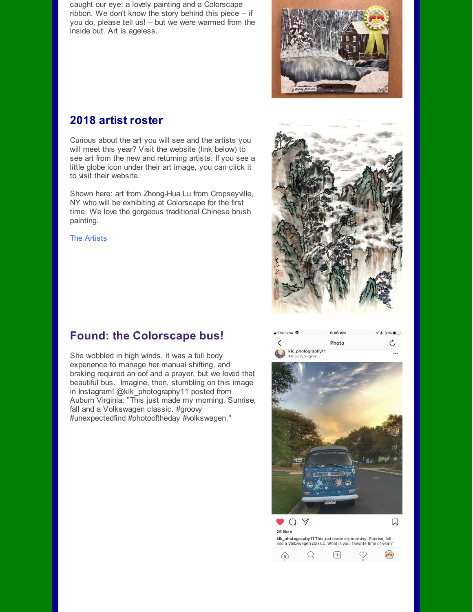caught our eye: a lovely painting and a Colorscape ribbon. We don't know the story behind this piece -- if you do, please tell us! -- but we were warmed from the inside out. Art is ageless.



#### **2018 artist roster**

Curious about the art you will see and the artists you will meet this year? Visit the website (link below) to see art from the new and returning artists. If you see a little globe icon under their art image, you can click it to visit their website.

Shown here: art from Zhong-Hua Lu from Cropseyville, NY who will be exhibiting at Colorscape for the first time. We love the gorgeous traditional Chinese brush painting.

The [Artists](http://r20.rs6.net/tn.jsp?f=0019_lWSmEWJev44Ih4nnbtmZZMh_zMtKTuXcbuidz-LRDXBQSTImBdcVPj0UQOMqf4fnmRSXxSAbEiNuDCSXZG7-wPdY56tY1nIeCkiEGqXYNv_g3CCfGQCEwTpPMlCITLNtN8Ny6okFfS_4ZgZmSu2Ob6m3eVX0q6W7K4e8vGkWZLJIzjklosNSODhh0626BAJZXnDxyZbmw=&c=&ch=)



#### **Found: the Colorscape bus!**

She wobbled in high winds, it was a full body experience to manage her manual shifting, and braking required an oof and a prayer, but we loved that beautiful bus. Imagine, then, stumbling on this image in Instagram! @klk\_photography11 posted from Auburn Virginia: "This just made my morning. Sunrise, fall and a Volkswagen classic. #groovy #unexpectedfind #photooftheday #volkswagen."



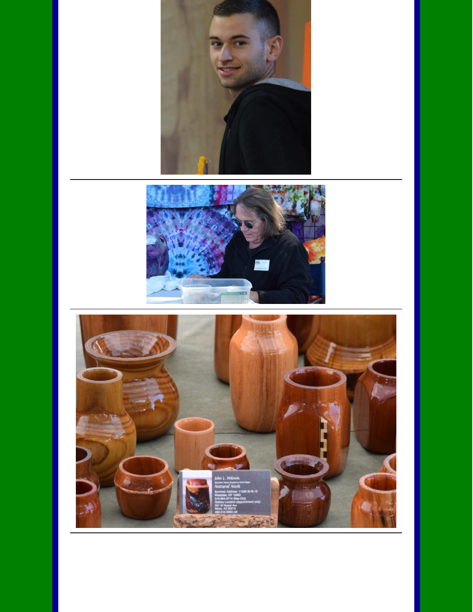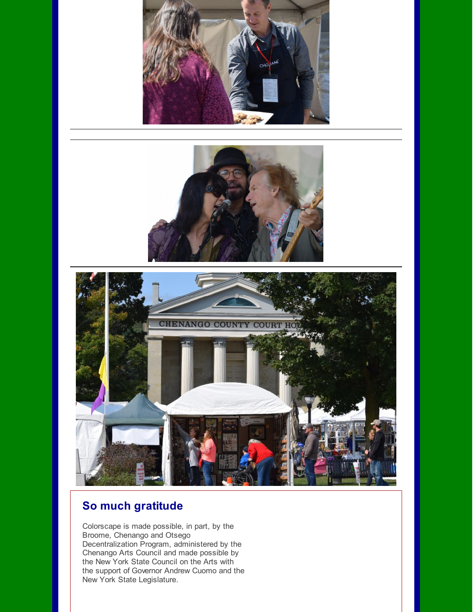





## **So much gratitude**

Colorscape is made possible, in part, by the Broome, Chenango and Otsego Decentralization Program, administered by the Chenango Arts Council and made possible by the New York State Council on the Arts with the support of Governor Andrew Cuomo and the New York State Legislature.